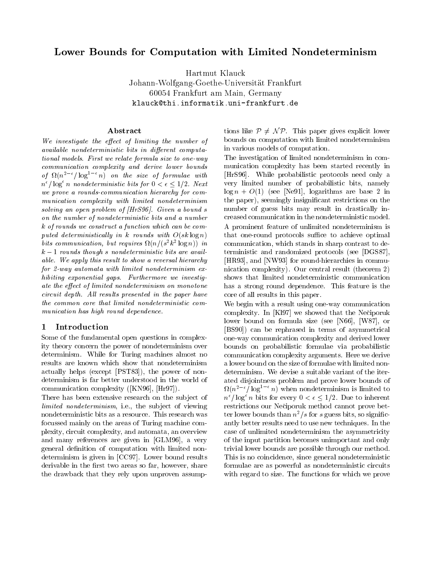# Lower Bounds for Computation with Limited Nondeterminism

Hartmut KlauckJohann-Wolfgang-Goethe-Universitat Frankfurt60054 Frankfurt am Main, Germanyklauck@thi.informatik.uni-frankfurt.de

#### Abstract

We investigate the effect of limiting the number of  $available\ nondeterministic\ bits\ in\ different\ computa$ tional models. First we relate formula size to one-way communication complexity and derive lower bounds of  $\Omega(n^2 \tbinom{n}{\log^2 n})$  on the size of formulae with  $\Box$  $n^{\circ}$  | log n nondeterministic bits for  $0 \leq \epsilon \leq 1/2$ . Next we prove a rounds-communication hierarchy for communication complexity with limited nondeterminism solving an open problem of [HrS96]. Given a bound s on the number of nondeterministic bits and a number k of rounds we construct a function which can be computed deterministically in k rounds with  $O(sk \log n)$ buts communication, but requires  $\Omega(n/(s^2 \kappa^2 \log n))$  in comk 1 rounds though <sup>s</sup> nondeterministic bits are available. We apply this result to show a reversal hierarchy for 2-way automata with limited nondeterminism exhibiting exponential gaps. Furthermore we investigate the effect of limited nondeterminism on monotone circuit depth. All results presented in the paper have the common core that limited nondeterministic communication has high round dependence.

## 1 Introduction

Some of the fundamental open questions in complexity theory concern the power of nondeterminism over determinism. While for Turing machines almost no results are known which show that nondeterminism actually helps (except [PST83]), the power of nondeterminism is far better understood in the world of communication complexity ([KN96], [Hr97]).

There has been extensive research on the subject of limited nondeterminism, i.e., the subject of viewing nondeterministic bits as a resource. This research was focussed mainly on the areas of Turing machine complexity, circuit complexity, and automata, an overview and many references are given in [GLM96], a very general definition of computation with limited nondeterminism is given in [CC97]. Lower bound results derivable in the first two areas so far, however, share the drawback that they rely upon unproven assumptions like  $P \neq \mathcal{NP}$ . This paper gives explicit lower bounds on computation with limited nondeterminism in various models of computation.

The investigation of limited nondeterminism in com munication complexity has been started recently in [HrS96]. While probabilistic protocols need only a very limited number of probabilistic bits, namely  $\log n + O(1)$  (see [Ne91], logarithms are base 2 in the paper), seemingly insignicant restrictions on the number of guess bits may result in drastically increased communication in the nondeterministic model. A prominent feature of unlimited nondeterminism is that one-round protocols suffice to achieve optimal communication, which stands in sharp contrast to deterministic and randomized protocols (see [DGS87], [HR93], and [NW93] for round-hierarchies in communication complexity). Our central result (theorem 2) shows that limited nondeterministic communication has a strong round dependence. This feature is the core of all results in this paper.

We begin with a result using one-way communication complexity. In [Kl97] we showed that the Neciporuk lower bound on formula size (see [N66], [W87], or [BS90]) can be rephrased in terms of asymmetrical one-way communication complexity and derived lower bounds on probabilistic formulae via probabilistic communication complexity arguments. Here we derive a lower bound on the size of formulae with limited nondeterminism. We devise a suitable variant of the iterated disjointness problem and prove lower bounds of  $\Omega(n^2 \rightharpoonup$  log<sup>-</sup>  $n)$  when nondeterminism is limited to  $n^{\scriptscriptstyle +}$  / log n bits for every  $0 < \epsilon \leq 1/2$ . Due to inherent restrictions our Neciporuk method cannot prove better lower bounds than  $n^2/s$  for s guess bits, so significantly better results need to use new techniques. In the case of unlimited nondeterminism the asymmetricity of the input partition becomes unimportant and only trivial lower bounds are possible through our method. This is no coincidence, since general nondeterministic formulae are as powerful as nondeterministic circuits with regard to size. The functions for which we prove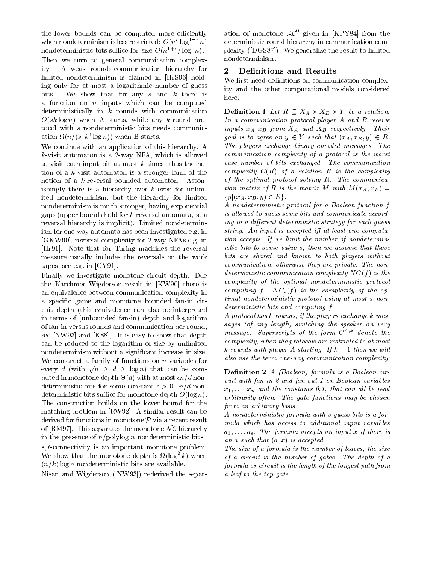the lower bounds can be computed more efficiently when nondeterminism is less restricted:  $U(n^c \log^2 n)$  d nondeterministic bits suffice for size  $O(n^{1+\epsilon}/\log^{\epsilon} n)$ . Then we turn to general communication complexity A weak rounds-communication hierarchy for  $\mathbf{2}$ limited nondeterminism is claimed in [HrS96] holding only for at most a logarithmic number of guess bits. We show that for any s and  $k$  there is a function on  $n$  inputs which can be computed deterministically in  $k$  rounds with communication  $O(sk \log n)$  when A starts, while any k-round protocol with <sup>s</sup> nondeterministic bits needs communication  $\Omega(n/(s^2\kappa^2 \log n))$  when B starts.

We continue with an application of this hierarchy. A  $k$ -visit automaton is a 2-way NFA, which is allowed to visit each input bit at most  $k$  times, thus the notion of a k-visit automaton is a stronger form of the notion of a k-reversal bounded automaton. Astonishingly there is a hierarchy over  $k$  even for unlimited nondeterminism, but the hierarchy for limited nondeterminism is much stronger, having exponential gaps (upper bounds hold for k-reversal automata, so a reversal hierarchy is implicit). Limited nondeterminism for one-way automata has been investigated e.g. in [GKW90], reversal complexity for 2-way NFAs e.g. in [Hr91]. Note that for Turing machines the reversal measure usually includes the reversals on the work tapes, see e.g. in [CY91].

Finally we investigate monotone circuit depth. Due the Karchmer Wigderson result in [KW90] there is an equivalence between communication complexity in a specific game and monotone bounded fan-in circuit depth (this equivalence can also be interpreted in terms of (unbounded fan-in) depth and logarithm of fan-in versus rounds and communication per round, see [NW93] and [K88]). It is easy to show that depth can be reduced to the logarithm of size by unlimited nondeterminism without a signicant increase in size. We construct a family of functions on  $n$  variables for every d (with  $\sqrt{n} > d > \log n$ ) that can be computed in monotone depth -(d) with at most n=d nondeterministic bits for some constant  $\epsilon > 0$ .  $n/d$  nondeterministic bits suffice for monotone depth  $O(\log n)$ . The construction builds on the lower bound for the matching problem in [RW92]. A similar result can be derived for functions in monotone  $P$  via a recent result of [RM97]. This separates the monotone  $\mathcal{NC}$  hierarchy in the presence of  $n$ /polylog n nondeterministic bits.

s; t-connectivity is an important monotone problem. We show that the monotone depth is  $\mathcal{U}(\log^2 k)$  when  $\sigma f$  $(n/k)$  log n nondeterministic bits are available.

Nisan and Wigderson ([NW93]) rederived the separ-

ation of monotone  $AC^0$  given in [KPY84] from the deterministic round hierarchy in communication complexity ([DGS87]). We generalize the result to limited nondeterminism.

## Definitions and Results

We first need definitions on communication complexity and the other computational models considered here.

 $\mathbf{D}$  chanceled 1  $\mathbf{L}$  be a relation. In a communication protocol player A and B receive inputs  $x_A$ ,  $x_B$  from  $X_A$  and  $X_B$  respectively. Their goal is to agree on  $y \in Y$  such that  $(x_A, x_B, y) \in R$ . The players exchange binary encoded messages. The communication complexity of a protocol is the worst case number of bits exchanged. The communication complexity  $C(R)$  of a relation R is the complexity of the optimal protocol solving R. The communication matrix of R is the matrix M with  $M(x_A, x_B) =$  $\{y|(x_A, x_B, y) \in R\}.$ 

A nondeterministic protocol for a Boolean function <sup>f</sup> is allowed to quess some bits and communicate according to a different deterministic strategy for each guess string. An input is accepted iff at least one computation accepts. If we limit the number of nondeterministic bits to some value s, then we assume that these bits are shared and known to both players without communication, otherwise they are private. The nondeterministic communication complexity  $NC(f)$  is the complexity of the optimal nondeterministic protocol computing f.  $NC_s(f)$  is the complexity of the optimal nondeterministic protocol using at most <sup>s</sup> nondeterministic bits and computing <sup>f</sup> .

A protocol has <sup>k</sup> rounds, if the players exchange <sup>k</sup> messages (of any length) switching the speaker on very message. Superscripts of the form  $C^{A,k}$  denote the complexity, when the protocols are restricted to at most k rounds with player A starting. If <sup>k</sup> = 1 then we wil l also use the term one-way communication complexity.

**Definition 2**  $A$  (Boolean) formula is a Boolean circuit with fan-in 2 and fan-out 1 on Boolean variables  $x_1,\ldots,x_n$  and the constants 0,1, that can all be read arbitrarily often. The gate functions may be chosen from an arbitrary basis.

A nondeterministic formula with <sup>s</sup> guess bits is a formula which has access to additional input variables  $a_1,\ldots,a_s$ . The formula accepts an input x if there is an a such that  $(a, x)$  is accepted.

The size of a formula is the number of leaves, the size of a circuit is the number of gates. The depth of a formula or circuit is the length of the longest path from a leaf to the top gate.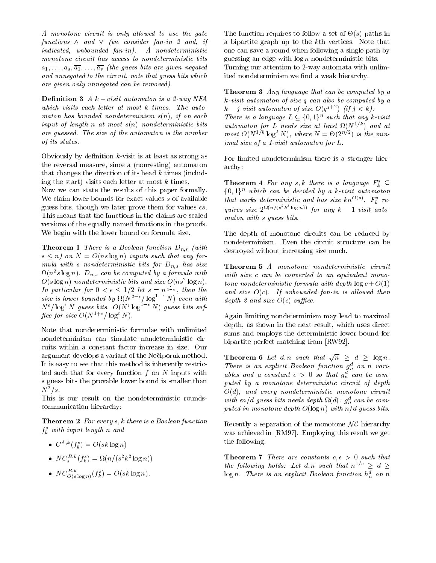A monotone circuit is only allowed to use the gate functions  $\wedge$  and  $\vee$  (we consider fan-in 2 and, if indicated, unbounded fan-in). A nondeterministic monotone circuit has access to nondeterministic bits  $a_1,\ldots,a_s,\overline{a_1},\ldots,\overline{a_s}$  (the guess bits are given negated and unnegated to the circuit, note that guess bits which are given only unnegated can be removed).

**Definition 3** A  $k - visit$  automaton is a 2-way NFA which visits each letter at most <sup>k</sup> times. The automaton has bounded nondeterminism  $s(n)$ , if on each input of length  $n$  at most  $s(n)$  nondeterministic bits are guessed. The size of the automaton is the number of its states.

Obviously by definition  $k$ -visit is at least as strong as the reversal measure, since a (nonresting) automaton that changes the direction of its head  $k$  times (including the start) visits each letter at most  $k$  times.

Now we can state the results of this paper formally. We claim lower bounds for exact values s of available guess bits, though we later prove them for values  $\epsilon s$ . This means that the functions in the claims are scaled versions of the equally named functions in the proofs. We begin with the lower bound on formula size.

**Theorem 1** There is a Boolean function  $D_{n,s}$  (with s n) on <sup>N</sup> = O(ns log n) inputs such that any formula with s nondeterministic bits for  $D_{n,s}$  has size  $\Omega(n^2s \log n)$ .  $D_{n,s}$  can be computed by a formula with  $min$  $O(s \log n)$  nondeterministic bits and size  $O(n s^{-1} \log n)$ . In particular for  $0 < \epsilon < 1/2$  let  $s = n^{\frac{1}{1-\epsilon}}$ , then the size is lower bounded by  $\Omega(N^2 \text{ }^\circ / \log^2 N)$  even with  $\overline{d}_{\text{eq}}$  $N<sup>o</sup>$  | log<sup>-</sup> N quess bits.  $O(N<sup>o</sup> \log<sup>-1</sup> N)$  quess bits suffice for size  $O(N^{1+\epsilon}/\log^{\epsilon} N)$ .

Note that nondeterministic formulae with unlimited nondeterminism can simulate nondeterministic circuits within a constant factor increase in size. Our argument develops a variant of the Neciporuk method. It is easy to see that this method is inherently restricted such that for every function  $f$  on  $N$  inputs with s guess bits the province is smaller than the smaller than  $\eta$  $N^2/s$ .

This is our result on the nondeterministic roundscommunication hierarchy:

**Theorem 2** For every  $s, k$  there is a Boolean function  $f_{\tilde k}$  with input tength n and

- $C^{A,k}(f_k^s) = O(sk \log n)$
- $N \cup_{s}^{N} (J_{k}^{s}) = M(n/(s^{2} \kappa^{2} \log n))$
- $N_{C(s \log n)}(f_k) = O(s \kappa \log n).$

The function requires to follow a set of -(s) paths in a bipartite graph up to the kth vertices. Note that one can save a round when following a single path by guessing an edge with  $\log n$  nondeterministic bits. Turning our attention to 2-way automata with unlimited nondeterminism we find a weak hierarchy.

Theorem 3 Any language that can be computed by a k-visit automaton of size <sup>q</sup> can also be computed by a  $\kappa$  =  $\jmath$ -visit automaton of size  $O(q^{\jmath} - \jmath)$  (if  $\jmath < \kappa$ ). There is a language  $L \subseteq \{0,1\}$  such that any k-visit  $a$ utomaton for L neeas size at least  $\Omega(N^{1/2})$  and at most  $O(N^{2/2} \log^2 N)$ , where  $N = \Theta(2^{n/2})$  is the minimal size of a 1-visit automaton for L.

For limited nondeterminism there is a stronger hierarchy:

**Theorem 4** For any s, k there is a language  $F_k^s \subseteq$  $\{0,1\}^n$  which can be decided by a k-visit automaton that works deterministic and has size  $\kappa n^{-\gamma}$  . F<sub>k</sub> requires size  $2^{\Omega(n/(s-k-\log n))}$  for any  $k-1$ -visit automaton with <sup>s</sup> guess bits.

The depth of monotone circuits can be reduced by nondeterminism. Even the circuit structure can be destroyed without increasing size much.

Theorem 5 A monotone nondeterministic circuit with size c can be converted to an equivalent monotone nondeterministic formula with depth  $\log c + O(1)$ and size  $O(c)$ . If unbounded fan-in is allowed then depth 2 and size  $O(c)$  suffice.

Again limiting nondeterminism may lead to maximal depth, as shown in the next result, which uses direct sums and employs the deterministic lower bound for bipartite perfect matching from [RW92].

**Theorem 6** Let d, n such that  $\sqrt{n} > d > \log n$ . There is an explicit Boolean function  $g_n^d$  on n variables and a constant  $\epsilon > 0$  so that  $g_n^d$  can be computed by a monotone deterministic circuit of depth  $O(d)$ , and every nondeterministic monotone circuit with  $\epsilon n/a$  guess bits needs depth  $\iota(a)$ .  $g_n^-$  can be computed in monotone depth  $O(\log n)$  with  $n/d$  guess bits.

Recently a separation of the monotone  $\mathcal{NC}$  hierarchy was achieved in [RM97]. Employing this result we get the following.

**Theorem 7** There are constants  $c, \epsilon > 0$  such that the following holds: Let d, n such that  $n^{1/c} \geq d \geq$  $\log n$ . There is an explicit Boolean function  $h_n^d$  on n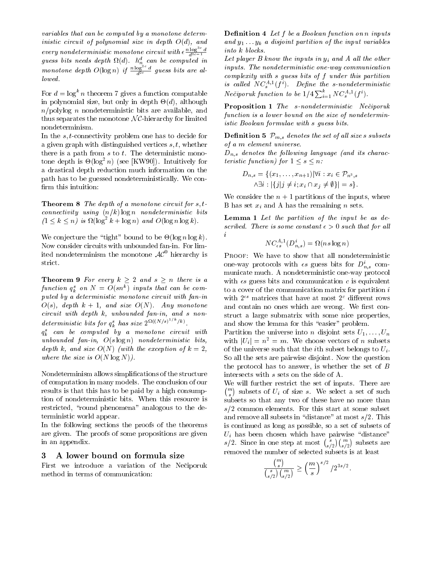variables that can be computed by a monotone deterministic circuit of polynomial size in depth  $O(d)$ , and every nondeterministic monotone circuit with  $\epsilon \frac{n \log a}{d^{3c-1}}$   $\qquad \qquad$ guess ous needs depth  $\mathfrak{U}(d)$ .  $n_n^2$  can be computed in  $\mathbb{R}^{C}$ . monotone depth  $O(\log n)$  if  $\frac{n \log^{10} a}{d^{2c}}$  guess bits are allowed.

For  $d = \log^k n$  theorem 7 gives a function computable in polynomial size, but only in depth - (d), although  $\sim$   $\sim$  $n$ /polylog n nondeterministic bits are available, and thus separates the monotone  $N\mathcal{C}$ -hierarchy for limited nondeterminism.

In the s; t-connectivity problem one has to decide for a given graph with distinguished vertices  $s, t$ , whether there is a path from  $s$  to  $t$ . The deterministic monotone depth is  $\Theta(\log^2 n)$  (see  $|KW90|$ ). Intuitively for  $u$ a drastical depth reduction much information on the path has to be guessed nondeterministically. We con firm this intuition:

**Theorem 8** The depth of a monotone circuit for  $s, t$ connectivity using  $(n/k)$  log n nondeterministic bits  $(1 \leq k \leq n)$  is  $\Omega(\log^2 k + \log n)$  and  $\Omega(\log n \log k)$ .

 $\theta$  conjecture the  $\theta$  and bound to be equally indicately. Now consider circuits with unbounded fan-in. For limited nondeterminism the monotone  $AC^0$  hierarchy is strict.

**Theorem 9** For every  $k \geq 2$  and  $s \geq n$  there is a function  $q_k$  on  $N = O(sn)$  inputs that can be computed by a deterministic monotone circuit with fan-in  $O(s)$ , depth  $k + 1$ , and size  $O(N)$ . Any monotone circuit with depth k, unbounded fan-in, and <sup>s</sup> nondeterministic bits for  $q_k^s$  has size  $2^{\Omega(\lfloor N/s \rfloor^s + \lfloor k \rfloor)}$ .

 $q_{\bar{k}}^-$  can be computed by a monotone circuit with  $\quad$  Pal unbounded fan-in,  $O(s \log n)$  nondeterministic bits, depth k, and size  $O(N)$  (with the exception of  $k=2$ , where the size is  $O(N \log N)$ .

Nondeterminism allows simplications of the structure of computation in many models. The conclusion of our results is that this has to be paid by a high consumption of nondeterministic bits. When this resource is restricted, "round phenomena" analogous to the deterministic world appear.

In the following sections the proofs of the theorems are given. The proofs of some propositions are given in an appendix.

#### 3 A lower bound on formula size

First we introduce a variation of the Neciporuk method in terms of communication:

**Definition 4** Let f be a Boolean function on n inputs and y1 :::yk a disjoint partition of the input variables into <sup>k</sup> blocks.

Let player B know the inputs in  $y_i$  and A all the other inputs. The nondeterministic one-way communication complexity with <sup>s</sup> guess bits of <sup>f</sup> under this partition is called  $N_{\mathcal{S}}^{(1)}$ ,  $J'$ ). Define the s-nondeterministic Nečiporuk function to be  $1/4 \sum_{i=1}^{\kappa} NC^{A,1}_{s}(f^{i}).$ 

Proposition 1 The s-nondeterministic Nečiporuk function is a lower bound on the size of nondeterministic Boolean formulae with <sup>s</sup> guess bits.

**Definition 5**  $\mathcal{P}_{m,s}$  denotes the set of all size s subsets of a <sup>m</sup> element universe.

 $D_{n,s}$  denotes the following language (and its characteristic function) for  $1 \leq s \leq n$ :

$$
D_{n,s} = \{(x_1, \ldots, x_{n+1}) | \forall i : x_i \in \mathcal{P}_{n^3,s} \land \exists i : |\{j | j \neq i; x_i \cap x_j \neq \emptyset\}| = s\}.
$$

We consider the  $n+1$  partitions of the inputs, where B has set  $x_i$  and A has the remaining  $n$  sets.

Lemma 1 Let the partition of the input be as described. There is some constant  $\epsilon > 0$  such that for all

$$
NC_{\epsilon s}^{A,1}(D_{n,s}^i) = \Omega(ns \log n)
$$

i

PROOF: We have to show that all nondeterministic one-way protocols with  $\epsilon s$  guess bits for  $D_{n,s}^i$  communicate much. A nondeterministic one-way protocol with  $\epsilon s$  guess bits and communication c is equivalent to a cover of the communication matrix for partition <sup>i</sup> with  $2^{\epsilon s}$  matrices that have at most  $2^c$  different rows and contain no ones which are wrong. We first construct a large submatrix with some nice properties, and show the lemma for this "easier" problem.

Partition the universe into *n* disjoint sets  $U_1,\ldots,U_n$ with  $|U_i| = n^2 = m$ . We choose vectors of n subsets of the universe such that the *i*th subset belongs to  $U_i$ . So all the sets are pairwise disjoint. Now the question the protocol has to answer, is whether the set of  $B$ intersects with <sup>s</sup> sets on the side of A.

We will further restrict the set of inputs. There are  $\binom{m}{s}$  subsets of  $U_i$  of size s. We select a set of such subsets so that any two of these have no more than  $s/2$  common elements. For this start at some subset and remove all subsets in "distance" at most  $s/2$ . This is continued as long as possible, so a set of subsets of  $U_i$  has been chosen which have pairwise "distance" s/2. Since in one step at most  $\binom{s}{s/2}\binom{m}{s/2}$  subsets are removed the number of selected subsets is at least

$$
\frac{\binom{m}{s}}{\binom{s}{s/2}\binom{m}{s/2}} \ge \left(\frac{m}{s}\right)^{s/2} / 2^{3s/2}.
$$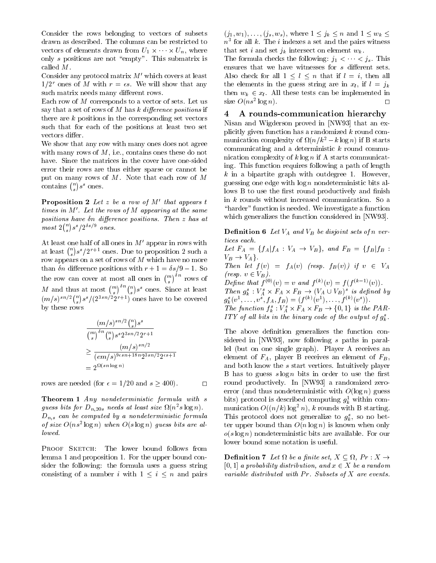Consider the rows belonging to vectors of subsets drawn as described. The columns can be restricted to vectors of elements drawn from U1  $\cdot$  . We W  $\cdot$  , where  $\cdot$ only  $s$  positions are not "empty". This submatrix is called M.

Consider any protocol matrix  $M'$  which covers at least  $1/2^r$  ones of M with  $r = \epsilon s$ . We will show that any such matrix needs many different rows.

Each row of <sup>M</sup> corresponds to a vector of sets. Let us say that a set of rows of  $M$  has  $k$  difference positions if there are  $k$  positions in the corresponding set vectors such that for each of the positions at least two set vectors differ.

We show that any row with many ones does not agree with many rows of  $M$ , i.e., contains ones these do not have. Since the matrices in the cover have one-sided error their rows are thus either sparse or cannot be put on many rows of M. Note that each row of <sup>M</sup> contains  $\binom{n}{s} s^s$  ones.

**Proposition 2** Let z be a row of  $M'$  that appears t times in  $M'$ . Let the rows of M appearing at the same positions have  $\delta n$  difference positions. Then  $z$  has at  $most\ 2\binom{n}{s} s^s/2^{\delta s/9}$  ones.

At least one half of all ones in  $M'$  appear in rows with at least  $\binom{n}{s} s^s / 2^{r+1}$  ones. Due to proposition 2 such a  $\frac{Let}{dt}$ row appears on a set of rows of <sup>M</sup> which have no more than  $\delta n$  difference positions with  $r+1= \delta s/9 - 1$ . So the row can cover at most all ones in  $\binom{m}{s}^{on}$  rows of M and thus at most  $\binom{m}{s}^{(n)} s^s$  ones. Since at least 7  $(m/s)^{sn/2} \binom{n}{s} s^s/(2^{3sn/2}2^{r+1})$  ones have to be covered  $g_k^s(n)$ by these rows

$$
(m/s)^{sn/2} \binom{n}{s} s^s
$$
  
\n
$$
\binom{m}{s} \binom{n}{s} s^s 2^{3sn/2} 2^{r+1}
$$
  
\n
$$
\geq \frac{(m/s)^{sn/2}}{(em/s)^{9\epsilon sn + 18n} 2^{3sn/2} 2^{\epsilon s + 1}}
$$
  
\n
$$
= 2^{\Omega(sn \log n)}
$$

rows are needed (for  $\epsilon = 1/20$  and  $s \ge 400$ ).

Theorem 1 Any nondeterministic formula with <sup>s</sup> guess ous for  $D_{n,20s}$  needs at least size  $\Omega(n-s)$  togn).  $D_{n,s}$  can be computed by a nondeterministic formula of size  $O(n s^2 \log n)$  when  $O(s \log n)$  quess bits are allowed.

PROOF SKETCH: The lower bound follows from lemma 1 and proposition 1. For the upper bound consider the following: the formula uses a guess string consisting of a number i with  $1 \leq i \leq n$  and pairs  $(j_1, w_1), \ldots, (j_s, w_s)$ , where  $1 \leq j_k \leq n$  and  $1 \leq w_k \leq$  $n$  tor all  $\kappa$ . The  $i$  indexes a set and the pairs witness that set i and set  $j_k$  intersect on element  $w_k$ .

The formula checks the following:  $j_1 \lt \cdots \lt j_s$ . This ensures that we have witnesses for  $s$  different sets. Also check for all  $1 \leq l \leq n$  that if  $l = i$ , then all the elements in the guess string are in  $x_l$ , if  $l = j_k$ then  $w_k \in x_l$ . All these tests can be implemented in  $\Box$ size  $O(n s^2 \log n)$ .

#### 4 A rounds-communication hierarchy

Nisan and Wigderson proved in [NW93] that an explicitly given function has a randomized  $k$  round communication complexity of  $M(n/k) = k \log n$ ) if B starts communicating and a deterministic  $k$  round communication complexity of  $k \log n$  if A starts communicating. This function requires following a path of length k in a bipartite graph with outdegree 1.However, 1.However, 1.However, 1.However, 1.However, 1.However, 1.However, 1.However, 1.However, 1.However, 1.However, 1.However, 1.However, 1.However, 1.However, 1.However, 1.Howeve guessing one edge with  $\log n$  nondeterministic bits allows B to use the first round productively and finish in  $k$  rounds without increased communication. So a "harder" function is needed. We investigate a function which generalizes the function considered in [NW93].

**Definition 6** Let  $V_A$  and  $V_B$  be disjoint sets of n vertices each.

Let  $F_A = \{f_A | f_A : V_A \to V_B\}$ , and  $F_B = \{f_B | f_B :$ VB ! VAg. Then is found (for  $\mathcal{F}$ ) if the fact (i.e. found if  $\mathcal{F}$  is a variable  $\mathcal{F}$ (resp.  $v \in V_B$ ). Define that  $f^{(0)}(v) = v$  and  $f^{(k)}(v) = f(f^{(k-1)}(v))$ . Then  $g_k : V_A \times r_A \times r_B \rightarrow (V_A \cup V_B)$  is defined by  $g_k^{\ast}(v^{\ast},\ldots,v^{\ast},J_A,J_B)=(J^{\backslash\infty}(v^{\ast}),\ldots,J^{\backslash\infty}(v^{\ast})).$ The function  $f_k : V_A \times F_A \times F_B \to \{0,1\}$  is the PAR-

IIY of an ons in the binary code of the output of  $g_k$ .

The above definition generalizes the function considered in [NW93], now following <sup>s</sup> paths in parallel (but on one single graph). Player A receives an element of  $F_A$ , player B receives an element of  $F_B$ , and both know the <sup>s</sup> start vertices. Intuitively player B has to guess  $s \log n$  bits in order to use the first round productively. In [NW93] a randomized zeroerror (and thus nondeterministic with  $O(\log n)$  guess bits) protocol is described computing  $g_{\bar{k}}$  within communication  $O((n/k) \log^2 n)$ , k rounds with B starting. I ms protocol does not generalize to  $g_k$ , so no better upper bound than  $O(n \log n)$  is known when only  $o(s \log n)$  nondeterministic bits are available. For our lower bound some notation is useful.

**Demittion** r Let  $\mu$  be a place set,  $A \subseteq \mu$ , if  $A \neq$ [0, 1] a probability distribution, and  $x \in X$  be a random variable distributed with  $Pr$ . Subsets of  $X$  are events.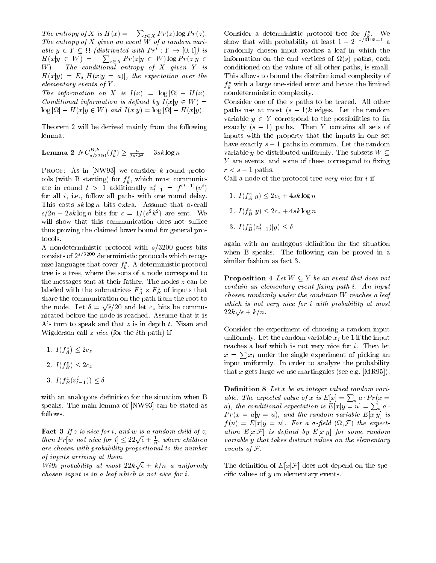The entropy of X is  $H(x) = -\sum_{z \in X} Pr(z) \log Pr(z)$ . The entropy of <sup>X</sup> given an event <sup>W</sup> of a random variable  $y \in Y \subseteq M$  (assimblance with  $\Gamma T : Y \to [0,1]/M$  is fail  $H(x|y \in W) = -\sum_{z \in X} Pr(z|y \in W) \log Pr(z|y \in \text{information})$ W). The conditional entropy of <sup>X</sup> given <sup>Y</sup> is  $H(x|y) = E_a[H(x|y = a)],$  the expectation over the elementary events of <sup>Y</sup> .

The information on the logic on  $\mathcal{L}$  is information of  $\mathcal{L}$ Conditional information is defined by  $I(x|y \in W)$  =  $\mathbf{H}(\mathbf{x}) = \mathbf{H}(\mathbf{x}) = \mathbf{H}(\mathbf{x}) = \mathbf{H}(\mathbf{x})$  and  $\mathbf{H}(\mathbf{x}) = \mathbf{H}(\mathbf{x})$ 

Theorem 2 will be derived mainly from the following lemma.

**Lemma 2**  $NC_{s/3200}^{-1}(f_k^s) \geq \frac{3}{2s^2k^2} - 3sk \log n$ 

PROOF: As in [NW93] we consider k round protocols (with B starting) for  $f_k^s$ , which must communicate in round  $t > 1$  additionally  $v_{t-1} = f^{(t-1)}(v^t)$ for all  $i$ , i.e., follow all paths with one round delay. This costs  $sk \log n$  bits extra. Assume that overall  $\epsilon/2n - 2sk \log n$  bits for  $\epsilon = 1/(s^2k^2)$  are sent. We will show that this communication does not suffice thus proving the claimed lower bound for general protocols.

A nondeterministic protocol with  $s/3200$  guess bits consists of  $2^{s/3200}$  deterministic protocols which recognize languages that cover  $f_k^s$ . A deterministic protocol tree is a tree, where the sons of a node correspond to the messages sent at their father. The nodes  $z$  can be labeled with the submatrices  $r_A \times r_B$  of inputs that share the communication on the path from the root to the node. Let  $\delta = \sqrt{\epsilon/20}$  and let  $c_z$  bits be communicated before the node is reached. Assume that it is A's turn to speak and that  $z$  is in depth  $t$ . Nisan and Wigderson call  $z$  nice (for the ith path) if

- 1.  $I(f_4^z) \leq 2c_z$
- 2.  $I(f_R^z) \leq 2c_z$
- $3. 1 \left( \frac{1}{B} \left( v_{t-1} \right) \right) \geq 0$

with an analogous definition for the situation when B speaks. The main lemma of [NW93] can be stated as follows.

**Fact 3** If z is nice for i, and w is a random child of z, then  $Pr[w \text{ not nice for } i] \leq 22\sqrt{\epsilon} + \frac{1}{n}$ , where children vari are chosen with probability proportional to the number of inputs arriving at them.

With probability at most  $22k\sqrt{\epsilon} + k/n$  a uniformly Th chosen input is in a leaf which is not nice for i.

Consider a deterministic protocol tree for  $f_k^s$ . We show that with probability at least  $1 - 2^{-s/3195+1}$  a randomly chosen input reaches a leaf in which the information on the end vertices of (s) paths, each conditioned on the values of all other paths, is small. This allows to bound the distributional complexity of  $J_{\bar{k}}$  with a large one-sided error and hence the limited nondeterministic complexity.

Consider one of the <sup>s</sup> paths to be traced. All other paths use at most  $(s-1)k$  edges. Let the random variable  $y \in Y$  correspond to the possibilities to fix exactly  $(s - 1)$  paths. Then Y contains all sets of inputs with the property that the inputs in one set have exactly  $s - 1$  paths in common. Let the random variable y be distributed uniformly. The subsets  $W \subseteq$ y are events, which comes are corresponding to the corresponding to the corresponding to the corresponding to the corresponding to the corresponding to the corresponding to the corresponding to the corresponding to the cor r state in the path of the state of the state of the state of the state of the state of the state of the state of the state of the state of the state of the state of the state of the state of the state of the state of the

Call a node of the protocol tree very nice for <sup>i</sup> if

- 1.  $I(f_A^z|y) \le 2c_z + 4sk \log n$ 2.  $I(f_R^z|y) \le 2c_z + 4sk \log n$
- 
- 3.  $I(f_B(v_{t-1})|y) \leq 0$

again with an analogous definition for the situation when B speaks. The following can be proved in a similar fashion as fact 3.

**Proposition 4** Let  $W \subseteq Y$  be an event that does not  $\epsilon$ contain an elementary event fixing path i. An input chosen randomly under the condition <sup>W</sup> reaches a leaf which is not very nice for <sup>i</sup> with probability at most  $22k\sqrt{\epsilon}+k/n$ .

Consider the experiment of choosing a random input uniformly. Let the random variable  $x_i$  be 1 if the input reaches a leaf which is not very nice for  $i$ . Then let  $x = \sum x_i$  under the single experiment of picking an input uniformly. In order to analyze the probability that  $x$  gets large we use martingales (see e.g. [MR95]).

**Definition 8** Let  $x$  be an integer valued random variable. The expected value of x is  $E[x] = \sum_a a \cdot Pr(x =$ a), the conditional expectation is  $E[x|y=u] = \sum_a a$  $Pr(x = a|y = u)$ , and the random variable  $E[x|y]$  is  $f$  (u)  $f$  for a set of  $f$  and  $f$  and  $f$  are expected ( ation  $E[x|\mathcal{F}]$  is defined by  $E[x|y]$  for some random variable <sup>y</sup> that takes distinct values on the elementary events of F.

The definition of  $E[x|\mathcal{F}]$  does not depend on the specific values of  $y$  on elementary events.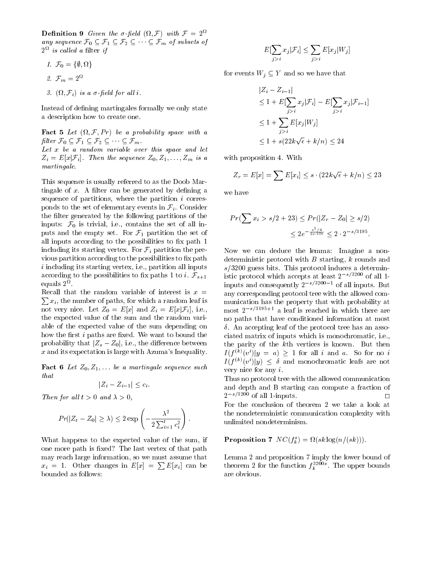**Definition** 9 Given the  $\sigma$ -neta (*M.F)* with  $\mathcal{F} = 2$ **Definition 9** Given the  $\sigma$ -field  $(\Omega, \mathcal{F})$  with  $\mathcal{F} = 2^{\Omega}$ <br>any sequence  $\mathcal{F}_0 \subseteq \mathcal{F}_1 \subseteq \mathcal{F}_2 \subseteq \cdots \subseteq \mathcal{F}_m$  of subsets of  $2^{\sim}$  is called a litter if

- 1.  $J_0 = {\psi, M}$
- 2.  $\mathcal{F}_m = 2^{\Omega}$
- $\beta$  (M,  $\mathcal{F}_i$ ) is a  $\sigma$ -peia for an i.

Instead of defining martingales formally we only state a description how to create one.

**Fact 5** Let  $(t_1, t_1, t_2, t_3)$  be a probability space with a filter  $\mathcal{F}_0 \subseteq \mathcal{F}_1 \subseteq \mathcal{F}_2 \subseteq \cdots \subseteq \mathcal{F}_m$ . Let  $(\Omega, \mathcal{F}, Pr)$  be a probabili<br> $\subseteq \mathcal{F}_1 \subseteq \mathcal{F}_2 \subseteq \cdots \subseteq \mathcal{F}_m$ . Let  $x$  be a random variable over this space and let

 $Z_i = E[x|\mathcal{F}_i]$ . Then the sequence  $Z_0, Z_1, \ldots, Z_m$  is a martingale.

This sequence is usually referred to as the Doob Martingale of x. A filter can be generated by defining a  $\qquad$  we have sequence of partitions, where the partition  $i$  corresponds to the set of elementary events in  $\mathcal{F}_i$ . Consider the filter generated by the following partitions of the inputs:  $r_0$  is trivial, i.e., contains the set of all inputs and the empty set. For  $r_1$  partition the set of all inputs according to the possibilities to fix path 1 including its starting vertex. For  $\mathcal{F}_i$  partition the previous partition according to the possibilities to fix path i including its starting vertex, i.e., partition all inputs according to the possibilities to fix paths 1 to *i*.  $\mathcal{F}_{s+1}$ equals  $2^{\Omega}$ .

 $\sum x_i$ , the number of paths, for which a random leaf is  $\qquad$  m Recall that the random variable of interest is  $x =$ not very nice. Let  $Z_0 = E[x]$  and  $Z_i = E[x|\mathcal{F}_i]$ , i.e., the expected value of the sum and the random variable of the expected value of the sum depending on how the first  $i$  paths are fixed. We want to bound the probability that  $|Z_s - Z_0|$ , i.e., the difference between x and its expectation is large with Azuma's Inequality.

Fact <sup>6</sup> Let Z0; Z1;::: be a martingale sequence such that  $, \ldots$  be a martingale seque<br> $|Z_i - Z_{i-1}| \leq c_i.$ 

$$
|Z_i - Z_{i-1}| \leq c_i
$$

Then for all  $t > 0$  and  $\lambda > 0$ ,

$$
Pr(|Z_t - Z_0| \ge \lambda) \le 2 \exp\left(-\frac{\lambda^2}{2\sum_{i=1}^t c_i^2}\right).
$$

What happens to the expected value of the sum, if one more path is fixed? The last vertex of that path may reach large information, so we must assume that  $x_i = 1$ . Other changes in  $E[x] = \sum E[x_i]$  can be the bounded as follows:

$$
E[\sum_{j>i} x_j | \mathcal{F}_i] \leq \sum_{j>i} E[x_j | W_j]
$$

for events  $W_j \subseteq Y$  and so we have that

$$
|Z_i - Z_{i-1}|
$$
  
\n
$$
\leq 1 + E[\sum_{j>i} x_j | \mathcal{F}_i] - E[\sum_{j>i} x_j | \mathcal{F}_{i-1}]
$$
  
\n
$$
\leq 1 + \sum_{j>i} E[x_j | W_j]
$$
  
\n
$$
\leq 1 + s(22k\sqrt{\epsilon} + k/n) \leq 24
$$

with proposition 4. With

$$
Z_r = E[x] = \sum E[x_i] \le s \cdot (22k\sqrt{\epsilon} + k/n) \le 23
$$

$$
Pr(\sum x_i > s/2 + 23) \le Pr(|Z_r - Z_0| \ge s/2)
$$
  

$$
\le 2e^{-\frac{s^2/4}{2s \cdot 576}} \le 2 \cdot 2^{-s/3195}.
$$

Now we can deduce the lemma: Imagine a nondeterministic protocol with  $B$  starting,  $k$  rounds and  $s/3200$  guess bits. This protocol induces a deterministic protocol which accepts at least  $2^{-s/3200}$  of all 1inputs and consequently  $2^{-s/3200-1}$  of all inputs. But any corresponding protocol tree with the allowed com munication has the property that with probability at most  $2^{-s/3195+1}$  a leaf is reached in which there are no paths that have conditioned information at most  $\delta$ . An accepting leaf of the protocol tree has an associated matrix of inputs which is monochromatic, i.e., the parity of the kth vertices is known. But then  $I(f^{(k)}(v^i)|y = a) \ge 1$  for all i and a. So for no i  $I(f^{(n)}(v))|y) \leq \delta$  and monochromatic leafs are not very nice for any i.

Thus no protocol tree with the allowed communication and depth and B starting can compute a fraction of  $2^{-s/3200}$  of all 1-inputs. For the conclusion of theorem 2 we take a look at the nondeterministic communication complexity with unlimited nondeterminism.

**Proposition** *( I*VC( $f_k$ ) =  $\Omega$ (*sk*  $\log(n/(s\kappa)))$ .

Lemma 2 and proposition 7 imply the lower bound of theorem 2 for the function  $f_k^{\text{2008}}$ . The upper bounds are obvious.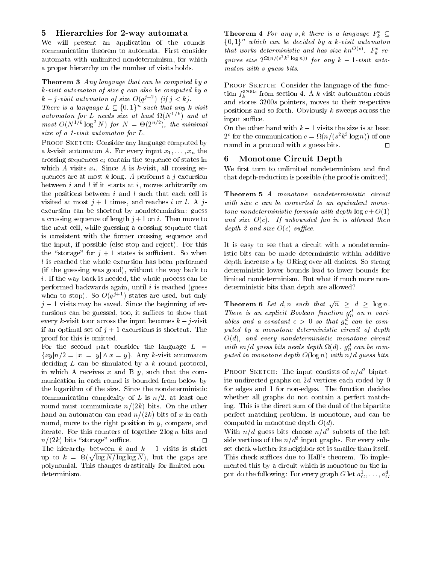#### 5 Hierarchies for 2-way automata

We will present an application of the roundscommunication theorem to automata. First consider automata with unlimited nondeterminism, for which a proper hierarchy on the number of visits holds.

Theorem 3 Any language that can be computed by a k-visit automaton of size q can also be computed by a  $k - j$ -visit automaton of size  $O(q^j - j)(i\tau) \leq k$ . k-visit automaton of size q can also be c<br>  $k - j$ -visit automaton of size  $O(q^{j+2})$  (if<br>
There is a language  $L \subset \{0,1\}^n$  such th

There is a language  $L \subseteq \{0,1\}^n$  such that any k-visit  $a$ utomaton for L neeas size at least  $\Omega(N^{1/2})$  and at most  $O(N^{2n} \log N)$  for  $N = \Theta(2^{n/2})$ , the minimal size of a 1-visit automaton for L.

PROOF SKETCH: Consider any language computed by a k-visit automaton A. For every input  $x_1, \ldots, x_n$  the crossing sequences  $c_i$  contain the sequence of states in which A visits  $x_i$ . Since A is k-visit, all crossing sequences are at most  $k$  long. A performs a j-excursion between i and  $l$  if it starts at i, moves arbitrarily on the positions between  $i$  and  $l$  such that each cell is visited at most  $j + 1$  times, and reaches i or l. A jexcursion can be shortcut by nondeterminism: guess a crossing sequence of length  $j+1$  on i. Then move to the next cell, while guessing a crossing sequence that is consistent with the former crossing sequence and the input, if possible (else stop and reject). For this the "storage" for  $j + 1$  states is sufficient. So when l is reached the whole excursion has been performed (if the guessing was good), without the way back to i. If the way back is needed, the whole process can be performed backwards again, until  $i$  is reached (guess when to stop). So  $O(q^2 + 1)$  states are used, but only  $j-1$  visits may be saved. Since the beginning of excursions can be guessed, too, it suffices to show that every k-visit tour across the input becomes  $k - j$ -visit if an optimal set of  $j + 1$ -excursions is shortcut. The proof for this is omitted.

For the second part consider the language  $L =$  $\{xy|n/2 = |x| = |y| \wedge x = y\}.$  Any k-visit automaton deciding  $L$  can be simulated by a  $k$  round protocol, in which A receives  $x$  and B  $y$ , such that the communication in each round is bounded from below by the logarithm of the size. Since the nondeterministic communication complexity of L is  $n/2$ , at least one round must communicate  $n/(2k)$  bits. On the other hand an automaton can read  $n/(2k)$  bits of x in each round, move to the right position in y, compare, and iterate. For this counters of together  $2 \log n$  bits and  $n/(2k)$  bits "storage" suffice.  $\Box$ The hierarchy between k and  $k-1$  visits is strict up to  $k = \Theta(\sqrt{\log N/\log \log N})$ , but the gaps are T polynomial. This changes drastically for limited nondeterminism.

**Theorem 4** For any s, k there is a language  $F_k^s \subseteq$  $\{0,1\}^n$  which can be decided by a k-visit automaton that works deterministic and has size  $\kappa n^{-s/2}$ .  $F_{\vec{k}}$  requires size  $2^{k(n/(s-k-10g/n))}$  for any  $k-1$ -visit automaton with s guess bits.

PROOF SKETCH: Consider the language of the function  $f_k$ <sup>----</sup> from section 4. A k-visit automaton reads and stores 3200s pointers, moves to their respective positions and so forth. Obviously  $k$  sweeps across the input suffice.

On the other hand with  $k-1$  visits the size is at least  $2<sup>o</sup>$  for the communication  $c = \Omega(n/(s^2 \kappa^2 \log n))$  of one round in a protocol with s guess bits.  $\square$ 

#### Monotone Circuit Depth 6

We first turn to unlimited nondeterminism and find that depth-reduction is possible (the proof is omitted).

Theorem 5 A monotone nondeterministic circuit with size c can be converted to an equivalent monotone nondeterministic formula with depth  $\log c + O(1)$ and size  $O(c)$ . If unbounded fan-in is allowed then depth 2 and size  $O(c)$  suffice.

It is easy to see that a circuit with  $s$  nondeterministic bits can be made deterministic within additive depth increase s by ORing over all choices. So strong deterministic lower bounds lead to lower bounds for limited nondeterminism. But what if much more nondeterministic bits than depth are allowed?

**Theorem 6** Let d, n such that  $\sqrt{n} > d > \log n$ . There is an explicit Boolean function  $g_n^d$  on n variables and a constant  $\epsilon > 0$  so that  $g_n^d$  can be computed by a monotone deterministic circuit of depth  $O(d)$ , and every nondeterministic monotone circuit with  $\epsilon n/a$  guess bits needs depth  $\iota(a)$ .  $g_n^-$  can be computed in monotone depth  $O(\log n)$  with  $n/d$  guess bits.

PROOF SKETCH: The input consists of  $n/d^2$  bipartite undirected graphs on  $2d$  vertices each coded by 0 for edges and 1 for non-edges. The function decides whether all graphs do not contain a perfect matching. This is the direct sum of the dual of the bipartite perfect matching problem, is monotone, and can be computed in monotone depth  $O(d)$ .

With  $n/a$  guess bits choose  $n/a$  subsets of the left side vertices of the  $n/a$  - input graphs. For every subset check whether its neighbor set is smaller than itself. This check suffices due to Hall's theorem. To implemented this by a circuit which is monotone on the input do the following: For every graph  $G$  let  $a_G^*,\ldots,a_G^*$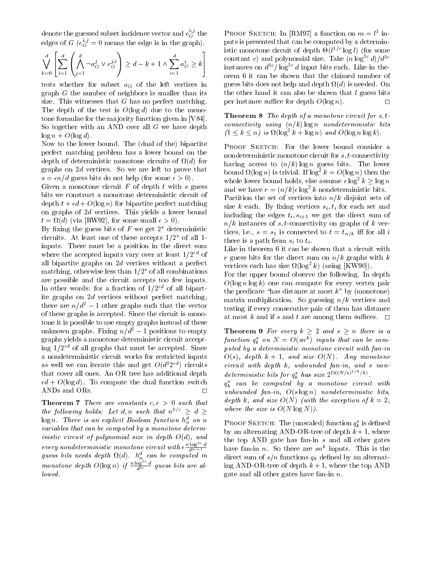denote the guessed subset incidence vector and  $e_G^\sim$  the  $\qquad$  Pi edges of G ( $e_G^{\omega}=0$  means the edge is in the graph).

$$
\bigvee_{k=0}^{d} \left[ \sum_{i=1}^{d} \left( \bigwedge_{j=1}^{d} \neg a_G^j \vee e_G^{j,i} \right) \geq d - k + 1 \wedge \sum_{i=1}^{d} a_G^i \geq k \right]
$$

tests whether for subset  $a_G$  of the left vertices in graph  $G$  the number of neighbors is smaller than its size. This witnesses that  $G$  has no perfect matching. The depth of the test is  $O(\log d)$  due to the monotone formulae for the majority function given in [V84]. So together with an AND over all  $G$  we have depth  $\log n + O(\log d)$ .

Now to the lower bound. The (dual of the) bipartite perfect matching problem has a lower bound on the depth of deterministic monotone circuits of (d) for graphs on 2d vertices. So we are left to prove that  $s = \epsilon n/d$  guess bits do not help (for some  $\epsilon > 0$ ).

Given a monotone circuit  $F$  of depth  $t$  with  $s$  guess bits we construct a monotone deterministic circuit of depth  $t + \epsilon d + O(\log n)$  for bipartite perfect matching on graphs of 2d vertices. This yields a lower bound  $\mathcal{N}$  and  $\mathcal{N}$  are some small of  $\mathcal{N}$ . The observed small  $\mathcal{N}$  and  $\mathcal{N}$ . In the observed small  $\mathcal{N}$ 

By fixing the guess bits of  $F$  we get  $2<sup>s</sup>$  deterministic circuits. At least one of these accepts  $1/2^s$  of all 1inputs. There must be a position in the direct sum where the accepted inputs vary over at least  $1/2^{nd}$  of all bipartite graphs on 2d vertices without a perfect matching, otherwise less than  $1/2<sup>s</sup>$  of all combinations are possible and the circuit accepts too few inputs. In other words: for a fraction of  $1/2^{nd}$  of all bipartite graphs on 2d vertices without perfect matching, there are  $n/d^2 - 1$  other graphs such that the vector of these graphs is accepted. Since the circuit is monotone it is possible to use empty graphs instead of these unknown graphs. Fixing  $n/d^2 - 1$  positions to empty graphs yields a monotone deterministic circuit accepting  $1/2^{ed}$  of all graphs that must be accepted. Since a nondeterministic circuit works for restricted inputs as well we can iterate this and get  $O(d^2 2^{d})$  circuits that cover all ones. An OR tree has additional depth  $\epsilon d + O(\log d)$ . To compute the dual function switch ANDs and ORs.  $\Box$ 

**Theorem 7** There are constants  $c, \epsilon > 0$  such that the following holds: Let d, n such that  $n^{1/c} \geq d \geq$  $\log n$ . There is an explicit Boolean function  $h_n^d$  on n variables that can be computed by a monotone deterministic circuit of polynomial size in depth  $O(d)$ , and every nondeterministic monotone circuit with  $\epsilon \frac{n \log^2 a}{d^{3c-1}}$  h guess ous needs depth  $\mathfrak{u}(a)$ .  $n_n^2$  can be computed in  $\alpha$  dire monotone depth  $O(\log n)$  if  $\frac{n \log a}{d^{2c}}$  guess bits are allowed.

PROOF SKETCH: In  $|\text{KMMI}|$  a function on  $m = i$  inputs is presented that can be computed by a deterministic monotone circuit of depth  $\Theta(t^{-\gamma+1} \log t)$  (for some  $\begin{cases} i & \text{for } i \leq k \\ G \geq k \end{cases}$  constant c) and polynomial size. Take  $(n \log^{3c} d)/d^{3c}$ <br>instances on  $d^{3c}/\log^{3c} d$  input bits each. Like in the  $d - k + 1 \wedge \sum a_G^i \ge k$  instances on  $d^{3c}/\log^{3c} d$  input bits each. Like in theorem 6 it can be shown that the claimed number of guess bits does not help and depth (d) is needed. On the other hand it can also be shown that  $l$  guess bits per instance suffice for depth  $O(\log n)$ .  $\Box$ 

> **Theorem 8** The depth of a monotone circuit for  $s, t$ connectivity using  $(n/k)$  log n nondeterministic bits  $(1 \leq k \leq n)$  is  $\Omega(\log^2 k + \log n)$  and  $\Omega(\log n \log k)$ .

PROOF SKETCH: For the lower bound consider a nondeterministic monotone circuit for s; t-connectivity having access to  $(n/k)$  log n guess bits. The lower bound  $\Omega(\log n)$  is trivial. If  $\log^2 k = O(\log n)$  then the whole lower bound holds, else assume  $\epsilon \log^2 k \geq \log n$ and we have  $r = (n/k) \epsilon \log^2 k$  nondeterministic bits.

Partition the set of vertices into  $n/k$  disjoint sets of size k each. By fixing vertices  $s_i, t_i$  for each set and including the edges  $t_i, s_{i+1}$  we get the direct sum of  $n/k$  instances of s, t-connectivity on graphs of k vertices, i.e., i.e., s  $\sim$  101 m s  $\sim$  101 m s  $\sim$  101 m s  $\sim$  3.1 m s  $\sim$  3.1 m s  $\sim$  3.1 m s  $\sim$  3.1 m s  $\sim$  3.1 m s  $\sim$  3.1 m s  $\sim$  3.1 m s  $\sim$  3.1 m s  $\sim$  3.1 m s  $\sim$  3.1 m s  $\sim$  3.1 m s  $\sim$  3.1 m s  $\sim$  there is a path from  $s_i$  to  $t_i$ .

Like in theorem 6 it can be shown that a circuit with r guess bits for the direct sum on  $n/k$  graphs with k vertices each has size  $\mathcal{U}(\log^2 k)$  (using  $|KW90|$ ).

For the upper bound observe the following. In depth  $O(\log n \log k)$  one can compute for every vertex pair the predicate "has distance at most  $k$ " by (monotone) matrix multiplication. So guessing  $n/k$  vertices and testing if every consecutive pair of them has distance at most k and if s and t are among them suffices.  $\Box$ 

**Theorem 9** For every  $k \geq 2$  and  $s \geq n$  there is a function  $q_{\tilde{k}}$  on  $N = O(s n^{\gamma})$  inputs that can be computed by a deterministic monotone circuit with fan-in  $O(s)$ , depth  $k + 1$ , and size  $O(N)$ . Any monotone circuit with depth k, unbounded fan-in, and s nondeterministic bits for  $q_k^s$  has size  $2^{\Omega(\lfloor N/s \rfloor + \lfloor k \rfloor)}$ .

 $q_{\bar{k}}^-$  can be computed by a monotone circuit with unbounded fan-in,  $O(s \log n)$  nondeterministic bits, depth k, and size  $O(N)$  (with the exception of  $k = 2$ , where the size is  $O(N \log N)$ .

PROOF SKETCH: The (unscaled) function  $q_k$  is defined by an alternating AND-OR-tree of depth  $k+1$ , where the top AND gate has fan-in  $s$  and all other gates have fan-in  $n$ . So there are  $sn^+$  inputs. This is the direct sum of  $s/n$  functions  $q_k$  defined by an alternating AND-OR-tree of depth  $k+1$ , where the top AND gate and all other gates have fan-in  $n$ .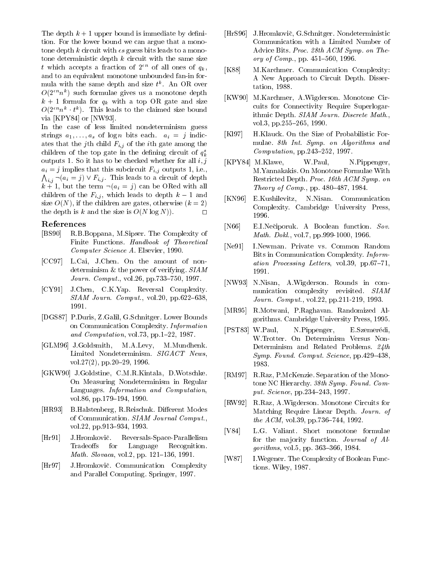The depth  $k+1$  upper bound is immediate by definition. For the lower bound we can argue that a monotone depth k circuit with  $\epsilon s$  guess bits leads to a monotone deterministic depth  $k$  circuit with the same size t which accepts a fraction of  $2^{\epsilon n}$  of all ones of  $q_k$ , [K88] and to an equivalent monotone unbounded fan-in for mula with the same depth and size  $t^*$ . An OR over  $O(2n)$  such formulae gives us a monotone depth  $\sim$  $k + 1$  formula for  $q_k$  with a top OR gate and size  $O(2^{-n}n^{n-1})$ . This leads to the claimed size bound via [KPY84] or [NW93].

In the case of less limited nondeterminism guess strings  $a_1, \ldots, a_s$  of  $\log n$  bits each.  $a_i = j$  indicates that the j<sup>th</sup> child  $F_{i,j}$  of the *i*<sup>th</sup> gate among the children of the top gate in the defining circuit of  $q_k^*$ outputs 1. So it has to be checked whether for all  $i, j$  $a_i = j$  implies that this subcircuit  $F_{i,j}$  outputs 1, i.e.,  $\bigwedge_{i,j} \neg(a_i = j) \vee F_{i,j}$ . This leads to a circuit of depth  $k+1$ , but the term  $\neg(a_i = j)$  can be ORed with all children of the  $F_{i,j}$ , which leads to depth  $k-1$  and [KN96] size  $O(N)$ , if the children are gates, otherwise  $(k = 2)$ the depth is k and the size is  $O(N \log N)$ .

#### References

- [BS90] R.B.Boppana, M.Sipser. The Complexity of Finite Functions. Handbook of Theoretical Computer Science A. Elsevier, 1990.
- [CC97] L.Cai, J.Chen. On the amount of nondeterminism & the power of verifying. SIAM *Journ. Comput.*, vol.26, pp.733-750, 1997.
- [CY91] J.Chen, C.K.Yap. Reversal Complexity.  $SIAM\; Journ.\;Comput., vol.20, pp.622–638,$ 1991.
- [DGS87] P.Duris, Z.Galil, G.Schnitger. Lower Bounds on Communication Complexity. Information and *Computation*, vol.73, pp.1-22, 1987.
- [GLM96] J.Goldsmith, M.A.Levy, M.Mundhenk. Limited Nondeterminism.  $SIGACT$  News, vol.27(2), pp.20-29, 1996.
- [GKW90] J.Goldstine, C.M.R.Kintala, D.Wotschke. On Measuring Nondeterminism in Regular Languages. Information and Computation, vol.86, pp.179-194, 1990.
- [HR93] B.Halstenberg, R.Reischuk. Different Modes of Communication. SIAM Journal Comput., vol.22, pp.913-934, 1993.
- [Hr91] J.Hromkovič. Reversals-Space-Parallelism Tradeoffs for Language Recognition. *Math. Slovaca*, vol.2, pp.  $121–136$ , 1991.
- [Hr97] J.Hromkovic. Communication Complexity and Parallel Computing. Springer, 1997.
- [HrS96] J.Hromkovic, G.Schnitger. Nondeterministic Communication with a Limited Number of Advice Bits. Proc. 28th ACM Symp. on Theory of  $Comp.$ , pp. 451-560, 1996.
- M.Karchmer. Communication Complexity: A New Approach to Circuit Depth. Dissertation, 1988.
- [KW90] M.Karchmer, A.Wigderson. Monotone Circuits for Connectivity Require Superlogarithmic Depth. SIAM Journ. Discrete Math., vol.3, pp.255–265, 1990.
- [Kl97] H.Klauck. On the Size of Probabilistic For mulae. 8th Int. Symp. on Algorithms and  $Computation$ , pp.243-252, 1997.
- [KPY84] M.Klawe, W.Paul, N.Pippenger, M.Yannakakis. On Monotone Formulae With Restricted Depth. Proc. 16th ACM Symp. on Theory of Comp., pp.  $480-487, 1984$ .
- [KN96] E.Kushilevitz, N.Nisan. Communication Complexity. Cambridge University Press, 1996.
- [N66] E.I.Neciporuk. A Boolean function. Sov. Math. Dokl., vol.7, pp.999-1000, 1966.
- [Ne91] I.Newman. Private vs. Common Random Bits in Communication Complexity. Information Processing Letters, vol. 39, pp.67-71, 1991.
- [NW93] N.Nisan, A.Wigderson. Rounds in com munication complexity revisited. SIAM Journ. Comput., vol.22, pp.211-219, 1993.
- [MR95] R.Motwani, P.Raghavan. Randomized Algorithms. Cambridge University Press, 1995.
- [PST83] W.Paul, N.Pippenger, E.Szemerédi, W.Trotter. On Determinism Versus Non-Determinism and Related Problems. 24th Symp. Found. Comput. Science, pp.  $429-438$ , 1983.
- [RM97] R.Raz, P.McKenzie. Separation of the Monotone NC Hierarchy. 38th Symp. Found. Comput. Science, pp.  $234-243$ , 1997.
- [RW92] R.Raz, A.Wigderson. Monotone Circuits for Matching Require Linear Depth. Journ. of the  $ACM$ , vol. 39, pp. 736–744, 1992.
- [V84] L.G. Valiant. Short monotone formulae for the majority function. Journal of Al $gorithms, vol.5, pp. 363–366, 1984.$
- [W87] I.Wegener. The Complexity of Boolean Functions. Wiley, 1987.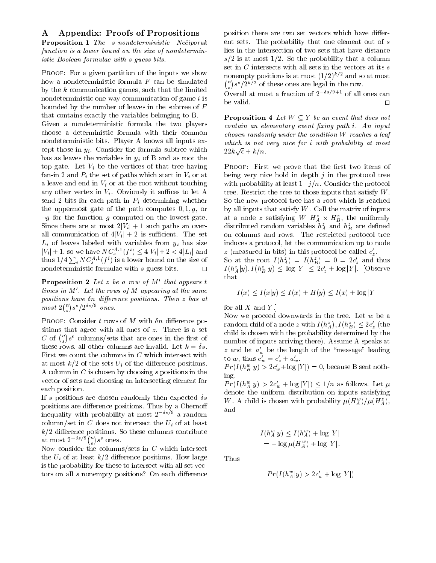## A Appendix: Proofs of Propositions

Proposition 1 The s-nondeterministic Neciporuk function is a lower bound on the size of nondeterministic Boolean formulae with s guess bits.

PROOF: For a given partition of the inputs we show how a nondeterministic formula  $F$  can be simulated by the  $k$  communication games, such that the limited nondeterministic one-way communication of game  $i$  is be valid. bounded by the number of leaves in the subtree of F that contains exactly the variables belonging to B.

Given a nondeterministic formula the two players choose a deterministic formula with their common nondeterministic bits. Player A knows all inputs except those in  $y_i$ . Consider the formula subtree which has as leaves the variables in  $y_i$  of B and as root the top gate. Let  $V_i$  be the vertices of that tree having fan-in 2 and  $P_i$  the set of paths which start in  $V_i$  or at a leave and end in  $V_i$  or at the root without touching any other vertex in  $V_i$ . Obviously it suffices to let A send 2 bits for each path in  $P_i$  determining whether the uppermost gate of the path computes  $0, 1, g$ , or  $\neg q$  for the function g computed on the lowest gate. Since there are at most  $2|V_i| + 1$  such paths an overall communication of  $4|V_i| + 2$  is sufficient. The set  $L_i$  of leaves labeled with variables from  $y_i$  has size  $|V_i| + 1$ , so we have  $N C_s^{\gamma+1}(J) \leq 4|V_i| + 2 < 4|L_i|$  and  $z$  (n thus  $1/4\sum_i NC^{A,1}_s(f^i)$  is a lower bound on the size of nondeterministic formulae with s guess bits.  $\Box$ 

**Proposition 2** Let z be a row of  $M'$  that appears t times in  $M'$ . Let the rows of M appearing at the same positions have  $\delta n$  difference positions. Then  $z$  has at  $most\ 2\binom{n}{s} s^s/2^{\delta s/9}$  ones.

PROOF: Consider t rows of M with  $\delta n$  difference positions that agree with all ones of z. There is a set C of  $\binom{n}{s} s^s$  columns/sets that are ones in the first of these rows, all other columns are invalid. Let  $k = \delta s$ . First we count the columns in  $C$  which intersect with at most  $k/2$  of the sets  $U_i$  of the difference positions. A column in  $C$  is chosen by choosing  $s$  positions in the vector of sets and choosing an intersecting element for each position.

If s positions are chosen randomly then expected  $\delta s$ positions are difference positions. Thus by a Chernoff inequality with probability at most  $2^{-\delta s/9}$  a random column/set in  $C$  does not intersect the  $U_i$  of at least  $k/2$  difference positions. So these columns contribute at most  $2^{-\delta s/9} \binom{n}{s} s^s$  ones.

Now consider the columns/sets in  $C$  which intersect the  $U_i$  of at least  $k/2$  difference positions. How large Thus is the probability for these to intersect with all set vectors on all s nonempty positions? On each difference

position there are two set vectors which have different sets. The probability that one element out of s lies in the intersection of two sets that have distance  $s/2$  is at most 1/2. So the probability that a column set in  $C$  intersects with all sets in the vectors at its  $s$ nonempty positions is at most  $(1/2)^{k/2}$  and so at most  $\binom{n}{s} s^s / 2^{k/2}$  of these ones are legal in the row.

Overall at most a fraction of  $2^{-\delta s/9+1}$  of all ones can

**Proposition 4** Let  $W \subseteq Y$  be an event that does not  $\epsilon$ contain an elementary event fixing path  $i$ . An input chosen randomly under the condition W reaches a leaf which is not very nice for i with probability at most  $22k\sqrt{\epsilon}+k/n$ .

PROOF: First we prove that the first two items of being very nice hold in depth  $j$  in the protocol tree with probability at least  $1-j/n$ . Consider the protocol tree. Restrict the tree to those inputs that satisfy W. So the new protocol tree has a root which is reached by all inputs that satisfy  $W$ . Call the matrix of inputs at a node z satisfying  $W$   $H_A \times H_B$ , the uniformly distributed random variables  $\tilde{h}_{A}^{z}$  and  $h_{B}^{z}$  are defined on columns and rows. The restricted protocol tree induces a protocol, let the communication up to node  $z$  (measured in bits) in this protocol be called  $c_z$ .

So at the root  $I(h_A^2) = I(h_B^2) = 0 = 2c_z$  and thus  $I(h_A^2|y), I(h_B^2|y) \geq \log |Y| \geq 2c_z + \log |Y|$ . [Observe t hat

$$
I(x) \le I(x|y) \le I(x) + H(y) \le I(x) + \log|Y|
$$

for all  $X$  and  $Y$ .]

Now we proceed downwards in the tree. Let  $w$  be a random child of a node z with  $I(n_A^2), I(n_B^2) \leq 2c_z$  (the child is chosen with the probability determined by the number of inputs arriving there). Assume A speaks at z and let  $a'_w$  be the length of the "message" leading to w, thus  $c_w = c_z + a_w$ .  $P T(I(n_{\tilde{B}}|y) > 2c_w + \log|I|) = 0$ , because B sent nothing.

 $Pr(I(n_A^2|y) > 2c_w + \log|Y|) \leq 1/n$  as follows. Let  $\mu$ denote the uniform distribution on inputs satisfying W. A child is chosen with probability  $\mu(H_4^w)/\mu(H_4^z)$ , and

$$
I(h_A^w|y) \le I(h_A^w) + \log|Y|
$$
  
=  $-\log \mu(H_A^w) + \log|Y|$ .

$$
Pr(I(h_A^w|y) > 2c'_w + \log|Y|)
$$